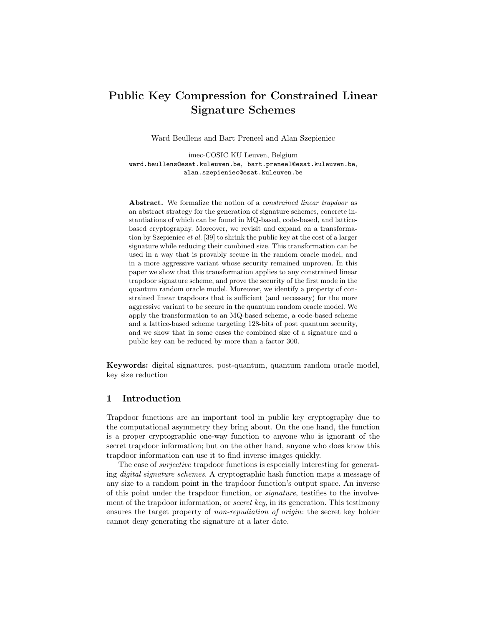# **Public Key Compression for Constrained Linear Signature Schemes**

Ward Beullens and Bart Preneel and Alan Szepieniec

imec-COSIC KU Leuven, Belgium ward.beullens@esat.kuleuven.be, bart.preneel@esat.kuleuven.be, alan.szepieniec@esat.kuleuven.be

**Abstract.** We formalize the notion of a *constrained linear trapdoor* as an abstract strategy for the generation of signature schemes, concrete instantiations of which can be found in MQ-based, code-based, and latticebased cryptography. Moreover, we revisit and expand on a transformation by Szepieniec *et al.* [[39\]](#page-21-0) to shrink the public key at the cost of a larger signature while reducing their combined size. This transformation can be used in a way that is provably secure in the random oracle model, and in a more aggressive variant whose security remained unproven. In this paper we show that this transformation applies to any constrained linear trapdoor signature scheme, and prove the security of the first mode in the quantum random oracle model. Moreover, we identify a property of constrained linear trapdoors that is sufficient (and necessary) for the more aggressive variant to be secure in the quantum random oracle model. We apply the transformation to an MQ-based scheme, a code-based scheme and a lattice-based scheme targeting 128-bits of post quantum security, and we show that in some cases the combined size of a signature and a public key can be reduced by more than a factor 300.

**Keywords:** digital signatures, post-quantum, quantum random oracle model, key size reduction

# **1 Introduction**

Trapdoor functions are an important tool in public key cryptography due to the computational asymmetry they bring about. On the one hand, the function is a proper cryptographic one-way function to anyone who is ignorant of the secret trapdoor information; but on the other hand, anyone who does know this trapdoor information can use it to find inverse images quickly.

The case of *surjective* trapdoor functions is especially interesting for generating *digital signature schemes*. A cryptographic hash function maps a message of any size to a random point in the trapdoor function's output space. An inverse of this point under the trapdoor function, or *signature*, testifies to the involvement of the trapdoor information, or *secret key*, in its generation. This testimony ensures the target property of *non-repudiation of origin*: the secret key holder cannot deny generating the signature at a later date.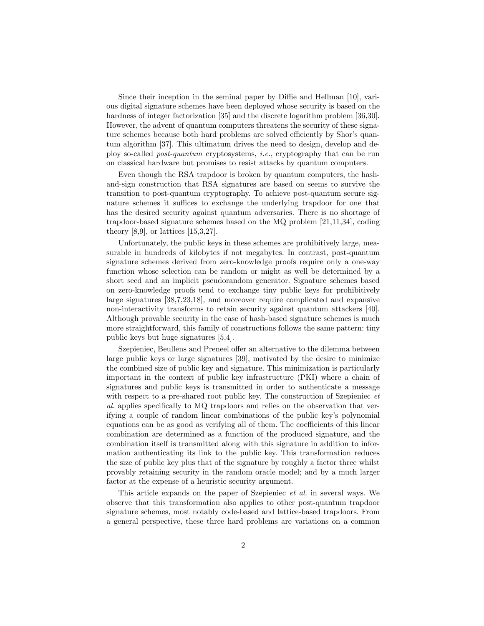Since their inception in the seminal paper by Diffie and Hellman [[10\]](#page-18-0), various digital signature schemes have been deployed whose security is based on the hardness of integer factorization [[35\]](#page-20-0) and the discrete logarithm problem [\[36](#page-20-1)[,30](#page-20-2)]. However, the advent of quantum computers threatens the security of these signature schemes because both hard problems are solved efficiently by Shor's quantum algorithm [\[37](#page-20-3)]. This ultimatum drives the need to design, develop and deploy so-called *post-quantum* cryptosystems, *i.e.*, cryptography that can be run on classical hardware but promises to resist attacks by quantum computers.

Even though the RSA trapdoor is broken by quantum computers, the hashand-sign construction that RSA signatures are based on seems to survive the transition to post-quantum cryptography. To achieve post-quantum secure signature schemes it suffices to exchange the underlying trapdoor for one that has the desired security against quantum adversaries. There is no shortage of trapdoor-based signature schemes based on the MQ problem [[21,](#page-19-0)[11](#page-18-1)[,34](#page-20-4)], coding theory  $[8,9]$  $[8,9]$  $[8,9]$ , or lattices  $[15,3,27]$  $[15,3,27]$  $[15,3,27]$  $[15,3,27]$  $[15,3,27]$ .

Unfortunately, the public keys in these schemes are prohibitively large, measurable in hundreds of kilobytes if not megabytes. In contrast, post-quantum signature schemes derived from zero-knowledge proofs require only a one-way function whose selection can be random or might as well be determined by a short seed and an implicit pseudorandom generator. Signature schemes based on zero-knowledge proofs tend to exchange tiny public keys for prohibitively large signatures [[38,](#page-21-1)[7,](#page-18-4)[23](#page-19-2)[,18](#page-19-3)], and moreover require complicated and expansive non-interactivity transforms to retain security against quantum attackers [[40](#page-21-2)]. Although provable security in the case of hash-based signature schemes is much more straightforward, this family of constructions follows the same pattern: tiny public keys but huge signatures [\[5](#page-18-5)[,4](#page-18-6)].

Szepieniec, Beullens and Preneel offer an alternative to the dilemma between large public keys or large signatures [[39\]](#page-21-0), motivated by the desire to minimize the combined size of public key and signature. This minimization is particularly important in the context of public key infrastructure (PKI) where a chain of signatures and public keys is transmitted in order to authenticate a message with respect to a pre-shared root public key. The construction of Szepieniec *et al.* applies specifically to MQ trapdoors and relies on the observation that verifying a couple of random linear combinations of the public key's polynomial equations can be as good as verifying all of them. The coefficients of this linear combination are determined as a function of the produced signature, and the combination itself is transmitted along with this signature in addition to information authenticating its link to the public key. This transformation reduces the size of public key plus that of the signature by roughly a factor three whilst provably retaining security in the random oracle model; and by a much larger factor at the expense of a heuristic security argument.

This article expands on the paper of Szepieniec *et al.* in several ways. We observe that this transformation also applies to other post-quantum trapdoor signature schemes, most notably code-based and lattice-based trapdoors. From a general perspective, these three hard problems are variations on a common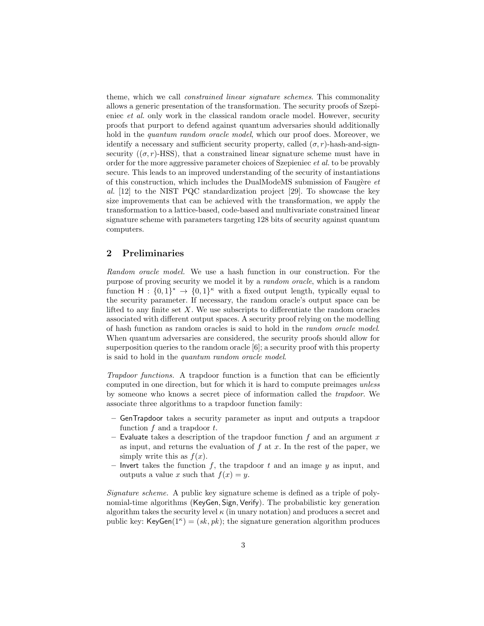theme, which we call *constrained linear signature schemes*. This commonality allows a generic presentation of the transformation. The security proofs of Szepieniec *et al.* only work in the classical random oracle model. However, security proofs that purport to defend against quantum adversaries should additionally hold in the *quantum random oracle model*, which our proof does. Moreover, we identify a necessary and sufficient security property, called  $(\sigma, r)$ -hash-and-signsecurity  $((\sigma, r)$ -HSS), that a constrained linear signature scheme must have in order for the more aggressive parameter choices of Szepieniec *et al.* to be provably secure. This leads to an improved understanding of the security of instantiations of this construction, which includes the DualModeMS submission of Faug`ere *et al.* [[12\]](#page-18-7) to the NIST PQC standardization project [[29\]](#page-20-6). To showcase the key size improvements that can be achieved with the transformation, we apply the transformation to a lattice-based, code-based and multivariate constrained linear signature scheme with parameters targeting 128 bits of security against quantum computers.

# **2 Preliminaries**

*Random oracle model.* We use a hash function in our construction. For the purpose of proving security we model it by a *random oracle*, which is a random function  $H: \{0,1\}^* \to \{0,1\}^{\kappa}$  with a fixed output length, typically equal to the security parameter. If necessary, the random oracle's output space can be lifted to any finite set *X*. We use subscripts to differentiate the random oracles associated with different output spaces. A security proof relying on the modelling of hash function as random oracles is said to hold in the *random oracle model*. When quantum adversaries are considered, the security proofs should allow for superposition queries to the random oracle [[6\]](#page-18-8); a security proof with this property is said to hold in the *quantum random oracle model*.

*Trapdoor functions.* A trapdoor function is a function that can be efficiently computed in one direction, but for which it is hard to compute preimages *unless* by someone who knows a secret piece of information called the *trapdoor*. We associate three algorithms to a trapdoor function family:

- **–** GenTrapdoor takes a security parameter as input and outputs a trapdoor function *f* and a trapdoor *t*.
- **–** Evaluate takes a description of the trapdoor function *f* and an argument *x* as input, and returns the evaluation of *f* at *x*. In the rest of the paper, we simply write this as  $f(x)$ .
- **–** Invert takes the function *f*, the trapdoor *t* and an image *y* as input, and outputs a value *x* such that  $f(x) = y$ .

*Signature scheme.* A public key signature scheme is defined as a triple of polynomial-time algorithms (KeyGen*,* Sign*,* Verify). The probabilistic key generation algorithm takes the security level  $\kappa$  (in unary notation) and produces a secret and public key:  $\mathsf{KeyGen}(1^{\kappa}) = (sk, pk)$ ; the signature generation algorithm produces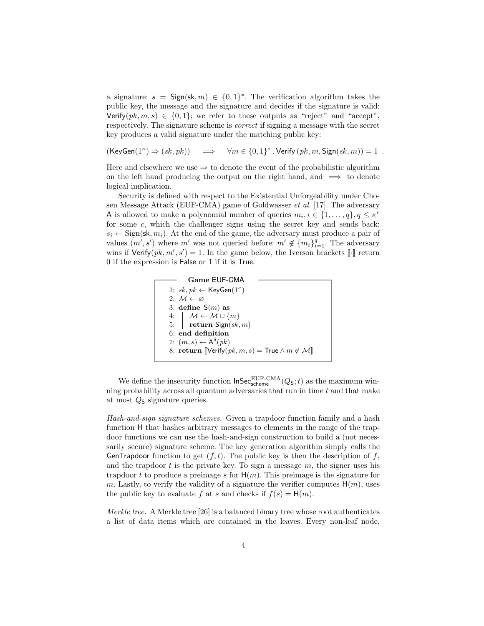a signature:  $s = \text{Sign}(\text{sk}, m) \in \{0, 1\}^*$ . The verification algorithm takes the public key, the message and the signature and decides if the signature is valid: Verify $(pk, m, s) \in \{0, 1\}$ ; we refer to these outputs as "reject" and "accept". respectively. The signature scheme is *correct* if signing a message with the secret key produces a valid signature under the matching public key:

 $(\mathsf{KeyGen}(1^{\kappa}) \Rightarrow (sk, pk)) \implies \forall m \in \{0, 1\}^*$ . Verify  $(pk, m, \mathsf{Sign}(sk, m)) = 1$ .

Here and elsewhere we use  $\Rightarrow$  to denote the event of the probabilistic algorithm on the left hand producing the output on the right hand, and  $\implies$  to denote logical implication.

Security is defined with respect to the Existential Unforgeability under Chosen Message Attack (EUF-CMA) game of Goldwasser *et al.* [[17\]](#page-19-4). The adversary A is allowed to make a polynomial number of queries  $m_i, i \in \{1, ..., q\}, q \leq \kappa^c$ for some *c*, which the challenger signs using the secret key and sends back:  $s_i \leftarrow$  Sign(sk,  $m_i$ ). At the end of the game, the adversary must produce a pair of values  $(m', s')$  where  $m'$  was not queried before:  $m' \notin \{m_i\}_{i=1}^q$ . The adversary wins if  $Verify(pk, m', s') = 1$ . In the game below, the Iverson brackets [*·*] return 0 if the expression is False or 1 if it is True.

$$
\begin{array}{ll}\n\textbf{Game EUF-CMA} \\
1: sk, pk \leftarrow \text{KeyGen}(1^{\kappa}) \\
2: \mathcal{M} \leftarrow \varnothing \\
3: \textbf{define } \mathsf{S}(m) \textbf{ as} \\
4: \quad M \leftarrow \mathcal{M} \cup \{m\} \\
5: \quad \textbf{return } \mathsf{Sign}(sk, m) \\
6: \textbf{end definition} \\
7: (m, s) \leftarrow \mathsf{A}^{\mathsf{S}}(pk) \\
8: \textbf{return } [\textbf{Verify}(pk, m, s) = \textbf{True} \land m \not\in \mathcal{M}]\n\end{array}
$$

We define the insecurity function  $InSec<sub>scheme</sub><sup>EUF-CMA</sup>(Q<sub>S</sub>; t)$  as the maximum winning probability across all quantum adversaries that run in time *t* and that make at most *Q*<sup>S</sup> signature queries.

*Hash-and-sign signature schemes.* Given a trapdoor function family and a hash function H that hashes arbitrary messages to elements in the range of the trapdoor functions we can use the hash-and-sign construction to build a (not necessarily secure) signature scheme. The key generation algorithm simply calls the GenTrapdoor function to get  $(f, t)$ . The public key is then the description of  $f$ , and the trapdoor *t* is the private key. To sign a message *m*, the signer uses his trapdoor  $t$  to produce a preimage  $s$  for  $H(m)$ . This preimage is the signature for *m*. Lastly, to verify the validity of a signature the verifier computes  $H(m)$ , uses the public key to evaluate *f* at *s* and checks if  $f(s) = H(m)$ .

*Merkle tree.* A Merkle tree [\[26](#page-20-7)] is a balanced binary tree whose root authenticates a list of data items which are contained in the leaves. Every non-leaf node,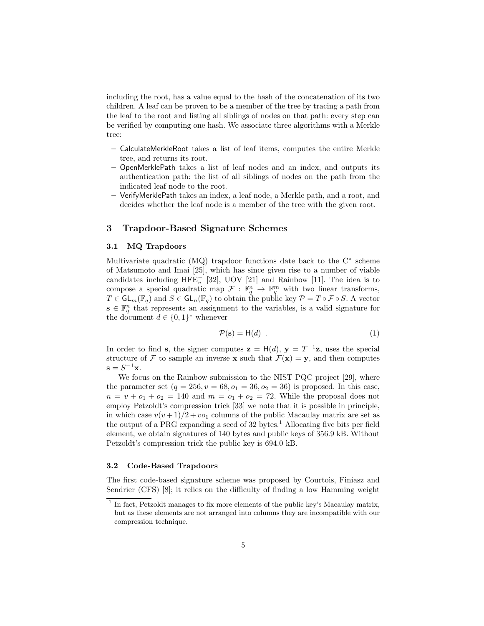including the root, has a value equal to the hash of the concatenation of its two children. A leaf can be proven to be a member of the tree by tracing a path from the leaf to the root and listing all siblings of nodes on that path: every step can be verified by computing one hash. We associate three algorithms with a Merkle tree:

- **–** CalculateMerkleRoot takes a list of leaf items, computes the entire Merkle tree, and returns its root.
- **–** OpenMerklePath takes a list of leaf nodes and an index, and outputs its authentication path: the list of all siblings of nodes on the path from the indicated leaf node to the root.
- **–** VerifyMerklePath takes an index, a leaf node, a Merkle path, and a root, and decides whether the leaf node is a member of the tree with the given root.

# <span id="page-4-1"></span>**3 Trapdoor-Based Signature Schemes**

### **3.1 MQ Trapdoors**

Multivariate quadratic (MQ) trapdoor functions date back to the C*<sup>∗</sup>* scheme of Matsumoto and Imai [[25\]](#page-19-5), which has since given rise to a number of viable candidates including  $HFE_v^-$  [\[32](#page-20-8)], UOV [[21\]](#page-19-0) and Rainbow [[11\]](#page-18-1). The idea is to compose a special quadratic map  $\mathcal{F}: \mathbb{F}_q^n \to \mathbb{F}_q^m$  with two linear transforms, *T* ∈  $GL_m(\mathbb{F}_q)$  and  $S \in GL_n(\mathbb{F}_q)$  to obtain the public key  $P = T \circ \mathcal{F} \circ S$ . A vector  $\mathbf{s} \in \mathbb{F}_q^n$  that represents an assignment to the variables, is a valid signature for the document  $d \in \{0,1\}^*$  whenever

$$
\mathcal{P}(\mathbf{s}) = \mathsf{H}(d) \tag{1}
$$

In order to find **s**, the signer computes  $z = H(d)$ ,  $y = T^{-1}z$ , uses the special structure of *F* to sample an inverse **x** such that  $\mathcal{F}(\mathbf{x}) = \mathbf{y}$ , and then computes **.** 

We focus on the Rainbow submission to the NIST PQC project [[29](#page-20-6)], where the parameter set  $(q = 256, v = 68, o_1 = 36, o_2 = 36)$  is proposed. In this case,  $n = v + o_1 + o_2 = 140$  and  $m = o_1 + o_2 = 72$ . While the proposal does not employ Petzoldt's compression trick [\[33](#page-20-9)] we note that it is possible in principle, in which case  $v(v+1)/2 + v_0$  columns of the public Macaulay matrix are set as the output of a PRG expanding a seed of  $32 \text{ bytes}$ <sup>[1](#page-4-0)</sup>. Allocating five bits per field element, we obtain signatures of 140 bytes and public keys of 356.9 kB. Without Petzoldt's compression trick the public key is 694.0 kB.

### **3.2 Code-Based Trapdoors**

The first code-based signature scheme was proposed by Courtois, Finiasz and Sendrier (CFS) [\[8](#page-18-2)]; it relies on the difficulty of finding a low Hamming weight

<span id="page-4-0"></span><sup>&</sup>lt;sup>1</sup> In fact, Petzoldt manages to fix more elements of the public key's Macaulay matrix, but as these elements are not arranged into columns they are incompatible with our compression technique.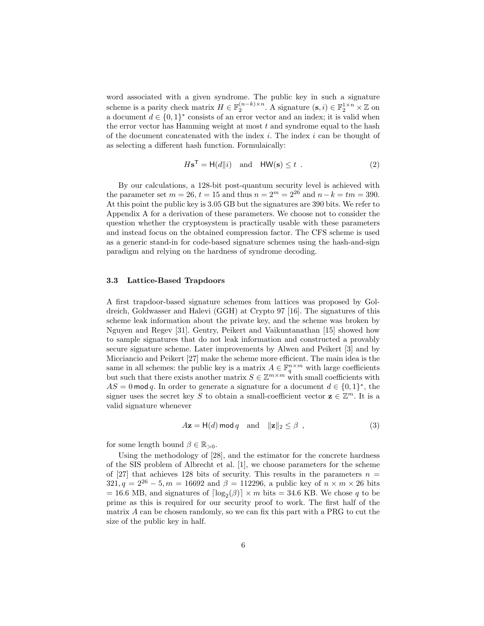word associated with a given syndrome. The public key in such a signature scheme is a parity check matrix  $H \in \mathbb{F}_2^{(n-k)\times n}$ . A signature  $(\mathbf{s}, i) \in \mathbb{F}_2^{1\times n} \times \mathbb{Z}$  on a document  $d \in \{0,1\}^*$  consists of an error vector and an index; it is valid when the error vector has Hamming weight at most *t* and syndrome equal to the hash of the document concatenated with the index *i*. The index *i* can be thought of as selecting a different hash function. Formulaically:

$$
H\mathbf{s}^{\mathsf{T}} = \mathsf{H}(d||i) \quad \text{and} \quad \mathsf{HW}(\mathbf{s}) \le t \tag{2}
$$

By our calculations, a 128-bit post-quantum security level is achieved with the parameter set  $m = 26$ ,  $t = 15$  and thus  $n = 2^m = 2^{26}$  and  $n - k = t$  $m = 390$ . At this point the public key is 3.05 GB but the signatures are 390 bits. We refer to Appendix [A](#page-21-3) for a derivation of these parameters. We choose not to consider the question whether the cryptosystem is practically usable with these parameters and instead focus on the obtained compression factor. The CFS scheme is used as a generic stand-in for code-based signature schemes using the hash-and-sign paradigm and relying on the hardness of syndrome decoding.

#### **3.3 Lattice-Based Trapdoors**

A first trapdoor-based signature schemes from lattices was proposed by Goldreich, Goldwasser and Halevi (GGH) at Crypto 97 [[16\]](#page-19-6). The signatures of this scheme leak information about the private key, and the scheme was broken by Nguyen and Regev [[31\]](#page-20-10). Gentry, Peikert and Vaikuntanathan [[15\]](#page-19-1) showed how to sample signatures that do not leak information and constructed a provably secure signature scheme. Later improvements by Alwen and Peikert [[3\]](#page-17-0) and by Micciancio and Peikert [[27\]](#page-20-5) make the scheme more efficient. The main idea is the same in all schemes: the public key is a matrix  $A \in \mathbb{F}_q^{n \times m}$  with large coefficients but such that there exists another matrix  $S \in \mathbb{Z}^{m \times m}$  with small coefficients with  $AS = 0$  mod q. In order to generate a signature for a document  $d \in \{0,1\}^*$ , the signer uses the secret key *S* to obtain a small-coefficient vector  $\mathbf{z} \in \mathbb{Z}^m$ . It is a valid signature whenever

$$
A\mathbf{z} = \mathbf{H}(d) \bmod q \quad \text{and} \quad \|\mathbf{z}\|_2 \le \beta \tag{3}
$$

for some length bound  $\beta \in \mathbb{R}_{>0}$ .

Using the methodology of [\[28](#page-20-11)], and the estimator for the concrete hardness of the SIS problem of Albrecht et al. [\[1](#page-17-1)], we choose parameters for the scheme of [[27\]](#page-20-5) that achieves 128 bits of security. This results in the parameters  $n =$ 321,  $q = 2^{26} - 5, m = 16692$  and  $\beta = 112296$ , a public key of  $n \times m \times 26$  bits  $= 16.6$  MB, and signatures of  $\lceil \log_2(\beta) \rceil \times m$  bits  $= 34.6$  KB. We chose  $q$  to be prime as this is required for our security proof to work. The first half of the matrix *A* can be chosen randomly, so we can fix this part with a PRG to cut the size of the public key in half.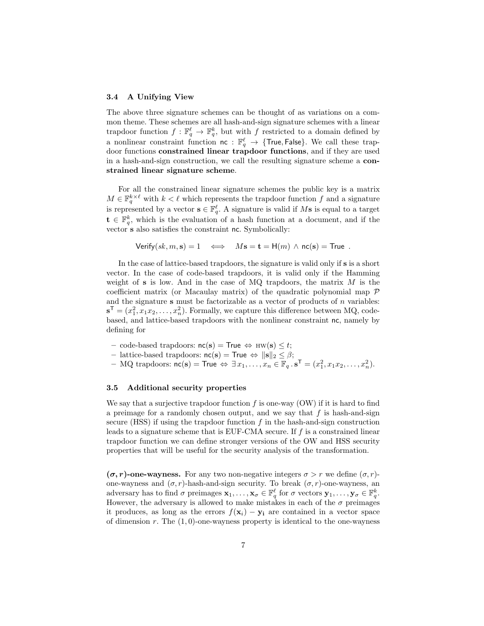#### **3.4 A Unifying View**

The above three signature schemes can be thought of as variations on a common theme. These schemes are all hash-and-sign signature schemes with a linear trapdoor function  $f: \mathbb{F}_q^{\ell} \to \mathbb{F}_q^k$ , but with *f* restricted to a domain defined by a nonlinear constraint function  $nc : \mathbb{F}_q^{\ell} \to \{True, False\}.$  We call these trapdoor functions **constrained linear trapdoor functions**, and if they are used in a hash-and-sign construction, we call the resulting signature scheme a **constrained linear signature scheme**.

For all the constrained linear signature schemes the public key is a matrix  $M \in \mathbb{F}_q^{k \times \ell}$  with  $k < \ell$  which represents the trapdoor function  $f$  and a signature is represented by a vector  $\mathbf{s} \in \mathbb{F}_q^{\ell}$ . A signature is valid if Ms is equal to a target  $\mathbf{t} \in \mathbb{F}_q^k$ , which is the evaluation of a hash function at a document, and if the vector **s** also satisfies the constraint nc. Symbolically:

$$
\mathsf{Verify}(sk,m,\mathbf{s}) = 1 \quad \Longleftrightarrow \quad M\mathbf{s} = \mathbf{t} = \mathsf{H}(m) \land \mathsf{nc}(\mathbf{s}) = \mathsf{True} \; .
$$

In the case of lattice-based trapdoors, the signature is valid only if **s** is a short vector. In the case of code-based trapdoors, it is valid only if the Hamming weight of **s** is low. And in the case of MQ trapdoors, the matrix *M* is the coefficient matrix (or Macaulay matrix) of the quadratic polynomial map *P* and the signature **s** must be factorizable as a vector of products of *n* variables:  $\mathbf{s}^{\mathsf{T}} = (x_1^2, x_1x_2, \dots, x_n^2)$ . Formally, we capture this difference between MQ, codebased, and lattice-based trapdoors with the nonlinear constraint nc, namely by defining for

- **–** code-based trapdoors: nc(**s**) = True *⇔* HW(**s**) *≤ t*;
- **–** lattice-based trapdoors: nc(**s**) = True *⇔ ∥***s***∥*<sup>2</sup> *≤ β*;
- $-$  MQ trapdoors:  $nc(s) = True \Leftrightarrow ∃x_1, ..., x_n ∈ \mathbb{F}_q \cdot s^\mathsf{T} = (x_1^2, x_1x_2, ..., x_n^2).$

#### **3.5 Additional security properties**

We say that a surjective trapdoor function  $f$  is one-way  $(OW)$  if it is hard to find a preimage for a randomly chosen output, and we say that *f* is hash-and-sign secure (HSS) if using the trapdoor function  $f$  in the hash-and-sign construction leads to a signature scheme that is EUF-CMA secure. If *f* is a constrained linear trapdoor function we can define stronger versions of the OW and HSS security properties that will be useful for the security analysis of the transformation.

 $(\sigma, r)$ -one-wayness. For any two non-negative integers  $\sigma > r$  we define  $(\sigma, r)$ one-wayness and  $(\sigma, r)$ -hash-and-sign security. To break  $(\sigma, r)$ -one-wayness, an adversary has to find  $\sigma$  preimages  $\mathbf{x}_1, \ldots, \mathbf{x}_{\sigma} \in \mathbb{F}_q^{\ell}$  for  $\sigma$  vectors  $\mathbf{y}_1, \ldots, \mathbf{y}_{\sigma} \in \mathbb{F}_q^k$ . However, the adversary is allowed to make mistakes in each of the  $\sigma$  preimages it produces, as long as the errors  $f(\mathbf{x}_i) - \mathbf{y}_i$  are contained in a vector space of dimension *r*. The (1*,* 0)-one-wayness property is identical to the one-wayness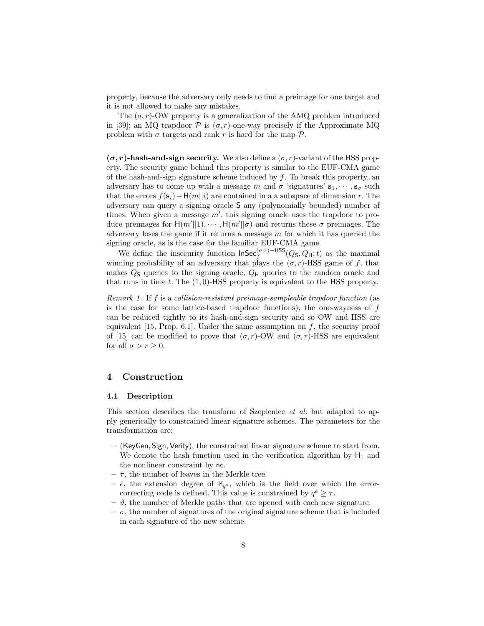property, because the adversary only needs to find a preimage for one target and it is not allowed to make any mistakes.

The  $(\sigma, r)$ -OW property is a generalization of the AMQ problem introduced in [[39\]](#page-21-0); an MQ trapdoor  $P$  is  $(\sigma, r)$ -one-way precisely if the Approximate MQ problem with  $\sigma$  targets and rank r is hard for the map  $\mathcal{P}$ .

 $(\sigma, r)$ -hash-and-sign security. We also define a  $(\sigma, r)$ -variant of the HSS property. The security game behind this property is similar to the EUF-CMA game of the hash-and-sign signature scheme induced by *f*. To break this property, an adversary has to come up with a message *m* and  $\sigma$  'signatures'  $\mathbf{s}_1, \cdots, \mathbf{s}_\sigma$  such that the errors  $f(\mathbf{s}_i) - \mathbf{H}(m||i)$  are contained in a a subspace of dimension *r*. The adversary can query a signing oracle S any (polynomially bounded) number of times. When given a message *m′* , this signing oracle uses the trapdoor to produce preimages for  $H(m'||1), \cdots, H(m'||\sigma)$  and returns these  $\sigma$  preimages. The adversary loses the game if it returns a message *m* for which it has queried the signing oracle, as is the case for the familiar EUF-CMA game.

We define the insecurity function  $\textsf{InSec}_f^{(\sigma,r)}$ <sup>*−*HSS</sup>( $Q$ <sub>S</sub>,  $Q$ <sub>H</sub>;*t*) as the maximal winning probability of an adversary that plays the  $(\sigma, r)$ -HSS game of f, that makes  $Q<sub>S</sub>$  queries to the signing oracle,  $Q<sub>H</sub>$  queries to the random oracle and that runs in time *t*. The (1*,* 0)-HSS property is equivalent to the HSS property.

*Remark 1.* If *f* is a *collision-resistant preimage-sampleable trapdoor function* (as is the case for some lattice-based trapdoor functions), the one-wayness of *f* can be reduced tightly to its hash-and-sign security and so OW and HSS are equivalent [\[15](#page-19-1), Prop. 6.1]. Under the same assumption on  $f$ , the security proof of [[15\]](#page-19-1) can be modified to prove that  $(\sigma, r)$ -OW and  $(\sigma, r)$ -HSS are equivalent for all  $\sigma > r \geq 0$ .

# **4 Construction**

### **4.1 Description**

This section describes the transform of Szepieniec *et al.* but adapted to apply generically to constrained linear signature schemes. The parameters for the transformation are:

- **–** (KeyGen*,* Sign*,* Verify), the constrained linear signature scheme to start from. We denote the hash function used in the verification algorithm by  $H_1$  and the nonlinear constraint by nc.
- $-\tau$ , the number of leaves in the Merkle tree.
- $-e$ , the extension degree of  $\mathbb{F}_{q^e}$ , which is the field over which the errorcorrecting code is defined. This value is constrained by  $q^e \geq \tau$ .
- $-\vartheta$ , the number of Merkle paths that are opened with each new signature.
- $-\sigma$ , the number of signatures of the original signature scheme that is included in each signature of the new scheme.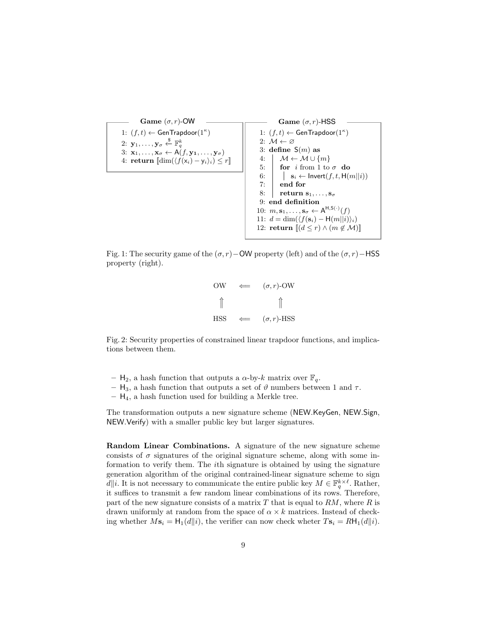

Fig. 1: The security game of the  $(\sigma, r)$ −OW property (left) and of the  $(\sigma, r)$ −HSS property (right).

$$
OW \n\leftarrow (\sigma, r)-OW
$$
\n
$$
\uparrow \qquad \qquad \uparrow
$$
\n
$$
HSS \n\leftarrow (\sigma, r)-HSS
$$

Fig. 2: Security properties of constrained linear trapdoor functions, and implications between them.

- **–** H2, a hash function that outputs a *α*-by-*k* matrix over F*q*.
- **–** H3, a hash function that outputs a set of *ϑ* numbers between 1 and *τ* .
- **–** H4, a hash function used for building a Merkle tree.

The transformation outputs a new signature scheme (NEW*.*KeyGen, NEW*.*Sign, NEW*.*Verify) with a smaller public key but larger signatures.

**Random Linear Combinations.** A signature of the new signature scheme consists of  $\sigma$  signatures of the original signature scheme, along with some information to verify them. The *i*th signature is obtained by using the signature generation algorithm of the original contrained-linear signature scheme to sign *d∥i*. It is not necessary to communicate the entire public key *M* ∈  $\mathbb{F}_q^{k \times l}$ . Rather, it suffices to transmit a few random linear combinations of its rows. Therefore, part of the new signature consists of a matrix *T* that is equal to *RM*, where *R* is drawn uniformly at random from the space of  $\alpha \times k$  matrices. Instead of checking whether  $M\mathbf{s}_i = \mathbf{H}_1(d||i)$ , the verifier can now check wheter  $T\mathbf{s}_i = R\mathbf{H}_1(d||i)$ .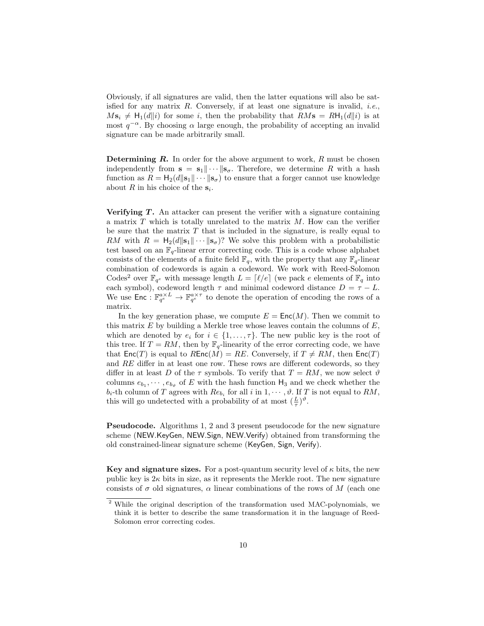Obviously, if all signatures are valid, then the latter equations will also be satisfied for any matrix *R*. Conversely, if at least one signature is invalid, *i.e.*,  $M\mathbf{s}_i \neq H_1(d||i)$  for some *i*, then the probability that  $RM\mathbf{s} = RH_1(d||i)$  is at most  $q^{-\alpha}$ . By choosing  $\alpha$  large enough, the probability of accepting an invalid signature can be made arbitrarily small.

**Determining** *R***.** In order for the above argument to work, *R* must be chosen independently from  $\mathbf{s} = \mathbf{s}_1 \|\cdots \|\mathbf{s}_{\sigma}$ . Therefore, we determine R with a hash function as  $R = H_2(d||\mathbf{s}_1|| \cdots ||\mathbf{s}_\sigma)$  to ensure that a forger cannot use knowledge about  $R$  in his choice of the  $s_i$ .

**Verifying** *T***.** An attacker can present the verifier with a signature containing a matrix *T* which is totally unrelated to the matrix *M*. How can the verifier be sure that the matrix *T* that is included in the signature, is really equal to *RM* with  $R = H_2(d||\mathbf{s}_1|| \cdots ||\mathbf{s}_\sigma)$ ? We solve this problem with a probabilistic test based on an  $\mathbb{F}_q$ -linear error correcting code. This is a code whose alphabet consists of the elements of a finite field  $\mathbb{F}_q$ , with the property that any  $\mathbb{F}_q$ -linear combination of codewords is again a codeword. We work with Reed-Solomon Codes<sup>[2](#page-9-0)</sup> over  $\mathbb{F}_{q^e}$  with message length  $L = \lceil \ell/e \rceil$  (we pack *e* elements of  $\mathbb{F}_q$  into each symbol), codeword length  $\tau$  and minimal codeword distance  $D = \tau - L$ . We use  $\textsf{Enc} : \mathbb{F}_{q^e}^{a \times L} \to \mathbb{F}_{q^e}^{a \times \tau}$  to denote the operation of encoding the rows of a matrix.

In the key generation phase, we compute  $E = \text{Enc}(M)$ . Then we commit to this matrix *E* by building a Merkle tree whose leaves contain the columns of *E*, which are denoted by  $e_i$  for  $i \in \{1, \ldots, \tau\}$ . The new public key is the root of this tree. If  $T = RM$ , then by  $\mathbb{F}_q$ -linearity of the error correcting code, we have that  $Enc(T)$  is equal to  $REnc(M) = RE$ . Conversely, if  $T \neq RM$ , then  $Enc(T)$ and *RE* differ in at least one row. These rows are different codewords, so they differ in at least *D* of the *τ* symbols. To verify that  $T = RM$ , we now select  $\vartheta$ columns  $e_{b_1}, \dots, e_{b_\vartheta}$  of *E* with the hash function  $H_3$  and we check whether the  $b_i$ -th column of *T* agrees with  $Re_{b_i}$  for all *i* in  $1, \cdots, \vartheta$ . If *T* is not equal to *RM*, this will go undetected with a probability of at most  $(\frac{L}{\tau})^{\vartheta}$ .

**Pseudocode.** Algorithms [1,](#page-10-0) [2](#page-11-0) and [3](#page-12-0) present pseudocode for the new signature scheme (NEW*.*KeyGen, NEW*.*Sign, NEW*.*Verify) obtained from transforming the old constrained-linear signature scheme (KeyGen, Sign, Verify).

**Key and signature sizes.** For a post-quantum security level of  $\kappa$  bits, the new public key is  $2\kappa$  bits in size, as it represents the Merkle root. The new signature consists of  $\sigma$  old signatures,  $\alpha$  linear combinations of the rows of M (each one

<span id="page-9-0"></span><sup>2</sup> While the original description of the transformation used MAC-polynomials, we think it is better to describe the same transformation it in the language of Reed-Solomon error correcting codes.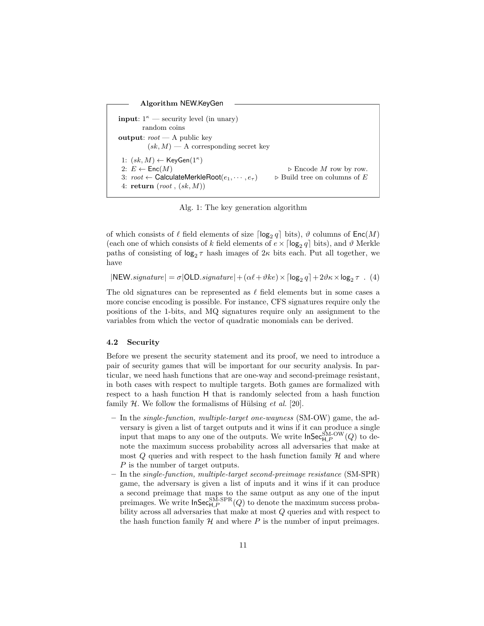<span id="page-10-0"></span>**Algorithm** NEW.KeyGen **input**:  $1^{\kappa}$  — security level (in unary) random coins **output**: *root* — A public key  $(sk, M)$  — A corresponding secret key 1:  $(sk, M)$  ← KeyGen(1<sup> $κ$ </sup>) 2:  $E \leftarrow \text{Enc}(M)$   $\triangleright$  Encode M row by row. 3:  $root \leftarrow$  CalculateMerkleRoot $(e_1, \dots, e_{\tau})$   $\triangleright$  Build tree on columns of *E* 4: **return** (*root* , (*sk, M*))

Alg. 1: The key generation algorithm

of which consists of  $\ell$  field elements of size  $\lceil \log_2 q \rceil$  bits),  $\vartheta$  columns of  $\mathsf{Enc}(M)$ (each one of which consists of *k* field elements of  $e \times \lceil \log_2 q \rceil$  bits), and  $\vartheta$  Merkle paths of consisting of  $log_2 \tau$  hash images of  $2\kappa$  bits each. Put all together, we have

 $|\text{NEW}.{\text{signature}}| = \sigma |\text{OLD}.{\text{signature}}| + (\alpha \ell + \vartheta k e) \times \lceil \log_2 q \rceil + 2 \vartheta \kappa \times \log_2 \tau$ . (4)

The old signatures can be represented as *ℓ* field elements but in some cases a more concise encoding is possible. For instance, CFS signatures require only the positions of the 1-bits, and MQ signatures require only an assignment to the variables from which the vector of quadratic monomials can be derived.

### **4.2 Security**

Before we present the security statement and its proof, we need to introduce a pair of security games that will be important for our security analysis. In particular, we need hash functions that are one-way and second-preimage resistant, in both cases with respect to multiple targets. Both games are formalized with respect to a hash function H that is randomly selected from a hash function family  $H$ . We follow the formalisms of Hülsing *et al.* [\[20\]](#page-19-7).

- **–** In the *single-function, multiple-target one-wayness* (SM-OW) game, the adversary is given a list of target outputs and it wins if it can produce a single input that maps to any one of the outputs. We write  $\mathsf{InSec}_{\mathsf{H},P}^{\text{SM-OW}}(Q)$  to denote the maximum success probability across all adversaries that make at most  $Q$  queries and with respect to the hash function family  $H$  and where *P* is the number of target outputs.
- **–** In the *single-function, multiple-target second-preimage resistance* (SM-SPR) game, the adversary is given a list of inputs and it wins if it can produce a second preimage that maps to the same output as any one of the input preimages. We write  $\mathsf{InSec}_{\mathsf{H},P}^{\mathrm{SM-SPR}}(Q)$  to denote the maximum success probability across all adversaries that make at most *Q* queries and with respect to the hash function family  $H$  and where  $P$  is the number of input preimages.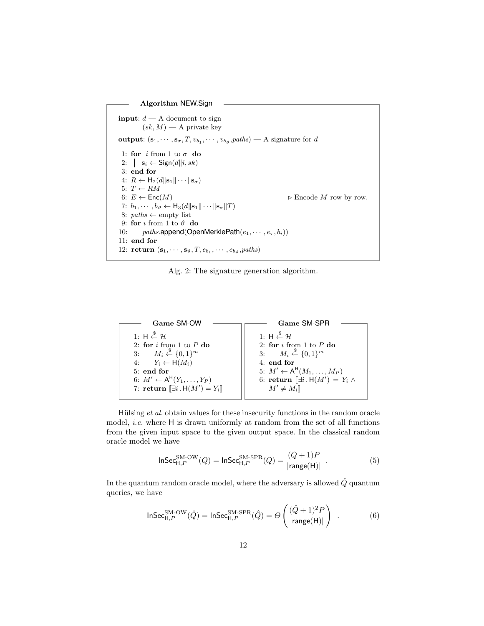<span id="page-11-0"></span>**Algorithm** NEW.Sign **input**:  $d - A$  document to sign  $(sk, M)$  — A private key **output**:  $(\mathbf{s}_1, \cdots, \mathbf{s}_{\sigma}, T, v_{b_1}, \cdots, v_{b_{\vartheta}},$  *paths*) — A signature for *d* 1: **for** *i* from 1 to *σ* **do** 2:  $\vert \mathbf{s}_i \leftarrow \textsf{Sign}(d \vert \vert i, sk)$ 3: **end for** 4:  $R \leftarrow H_2(d||\mathbf{s}_1|| \cdots ||\mathbf{s}_{\sigma})$ 5:  $T \leftarrow RM$ 6:  $E \leftarrow \text{Enc}(M)$   $\triangleright$  Encode *M* row by row. 7:  $b_1, \cdots, b_{\vartheta} \leftarrow H_3(d||\mathbf{s}_1||\cdots||\mathbf{s}_{\sigma}||T)$ 8: *paths ←* empty list 9: **for** *i* from 1 to  $\vartheta$  **do** 10: *paths.append(OpenMerklePath* $(e_1, \dots, e_{\tau}, b_i)$ *)* 11: **end for** 12: **return**  $(\mathbf{s}_1, \cdots, \mathbf{s}_{\vartheta}, T, e_{b_1}, \cdots, e_{b_{\vartheta}}, paths)$ 

Alg. 2: The signature generation algorithm.

| Game SM-OW                                           | Game SM-SPR                                                 |
|------------------------------------------------------|-------------------------------------------------------------|
|                                                      |                                                             |
| 1: H $\stackrel{\$}{\leftarrow}$ H                   | 1: H $\stackrel{\$}{\leftarrow}$ H                          |
| 2: for $i$ from 1 to $P$ do                          | 2: for $i$ from 1 to $P$ do                                 |
| 3: $M_i \xleftarrow{\$} \{0,1\}^m$                   | 3: $M_i \xleftarrow{\$} \{0,1\}^m$                          |
| 4: $Y_i \leftarrow H(M_i)$                           | $4:$ end for                                                |
| $5:$ end for                                         | 5: $M' \leftarrow \mathsf{A}^{\mathsf{H}}(M_1,\ldots,M_P)$  |
| 6: $M' \leftarrow A^H(Y_1, \ldots, Y_P)$             | 6: return $[\exists i \, . \, \mathsf{H}(M')] = Y_i \wedge$ |
| 7: return $\left[\exists i \cdot H(M') = Y_i\right]$ | $M' \neq M_i$                                               |
|                                                      |                                                             |

Hülsing *et al.* obtain values for these insecurity functions in the random oracle model, *i.e.* where H is drawn uniformly at random from the set of all functions from the given input space to the given output space. In the classical random oracle model we have

<span id="page-11-1"></span>
$$
\mathsf{InSec}_{\mathsf{H},P}^{\mathsf{SM-OW}}(Q) = \mathsf{InSec}_{\mathsf{H},P}^{\mathsf{SM-SPR}}(Q) = \frac{(Q+1)P}{|\mathsf{range}(\mathsf{H})|} \tag{5}
$$

In the quantum random oracle model, where the adversary is allowed  $\hat{Q}$  quantum queries, we have

<span id="page-11-2"></span>
$$
\text{InSec}_{\mathsf{H},P}^{\text{SM-OW}}(\hat{Q}) = \text{InSec}_{\mathsf{H},P}^{\text{SM-SPR}}(\hat{Q}) = \Theta\left(\frac{(\hat{Q}+1)^2 P}{|\text{range}(\mathsf{H})|}\right) \tag{6}
$$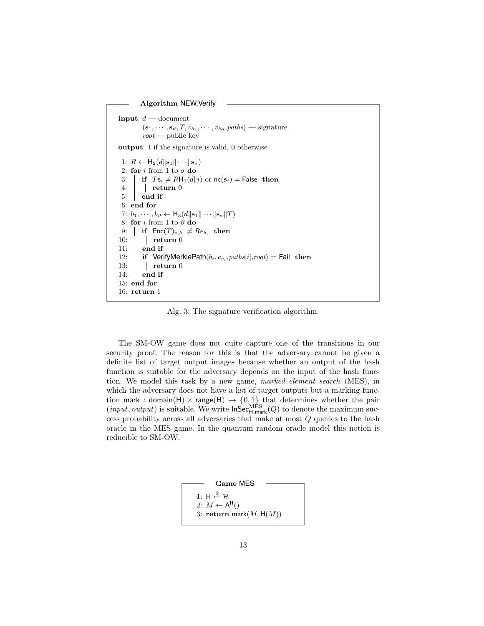**Algorithm** NEW.Verify

<span id="page-12-0"></span>**input**: *d* — document  $(\mathbf{s}_1, \cdots, \mathbf{s}_{\vartheta}, T, v_{b_1}, \cdots, v_{b_{\vartheta}},$ *paths* $)$  — signature *root* — public key **output**: 1 if the signature is valid, 0 otherwise 1:  $R \leftarrow H_2(d||\mathbf{s}_1|| \cdots ||\mathbf{s}_{\sigma})$ 2: **for** *i* from 1 to *σ* **do** 3: **if**  $T\mathbf{s}_i \neq R\mathsf{H}_1(d||i)$  or  $nc(\mathbf{s}_i) = \mathsf{False}$  then 4: **return** 0 5: **end if** 6: **end for** 7:  $b_1, \cdots, b_{\vartheta} \leftarrow H_3(d||\mathbf{s}_1||\cdots||\mathbf{s}_{\sigma}||T)$ 8: **for**  $i$  from 1 to  $\vartheta$  **do** 9: **|** if  $\mathsf{Enc}(T)_{*,b_i} \neq Re_{b_i}$  then 10: **return** 0 11: **end if** 12: **if** VerifyMerklePath $(b_i, e_{b_i}, paths[i], root) =$ Fail then 13: **return** 0 14: **end if** 15: **end for** 16: **return** 1

Alg. 3: The signature verification algorithm.

The SM-OW game does not quite capture one of the transitions in our security proof. The reason for this is that the adversary cannot be given a definite list of target output images because whether an output of the hash function is suitable for the adversary depends on the input of the hash function. We model this task by a new game, *marked element search* (MES), in which the adversary does not have a list of target outputs but a marking function mark : domain(H)  $\times$  range(H)  $\rightarrow$  {0,1} that determines whether the pair  $(input, output)$  is suitable. We write  $\text{InSec}_{H, mark}^{MES}(Q)$  to denote the maximum success probability across all adversaries that make at most *Q* queries to the hash oracle in the MES game. In the quantum random oracle model this notion is reducible to SM-OW.

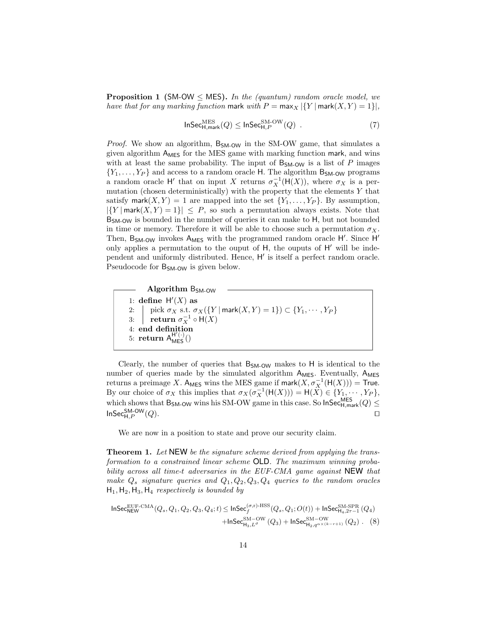**Proposition 1 (**SM-OW *≤* MES**).** *In the (quantum) random oracle model, we have that for any marking function* mark *with*  $P = \max_X |\{Y | \text{mark}(X, Y) = 1\}|$ ,

$$
\mathsf{InSec}_{\mathsf{H},\mathsf{mark}}^{\mathrm{MES}}(Q) \le \mathsf{InSec}_{\mathsf{H},P}^{\mathrm{SM-OW}}(Q) \tag{7}
$$

*Proof.* We show an algorithm,  $B_{SM-OW}$  in the SM-OW game, that simulates a given algorithm  $A_{MES}$  for the MES game with marking function mark, and wins with at least the same probability. The input of  $B_{SM-OW}$  is a list of  $P$  images  ${Y_1, \ldots, Y_P}$  and access to a random oracle H. The algorithm  $B_{\text{SM-OW}}$  programs a random oracle  $H'$  that on input *X* returns  $\sigma_X^{-1}(H(X))$ , where  $\sigma_X$  is a permutation (chosen deterministically) with the property that the elements *Y* that satisfy mark $(X, Y) = 1$  are mapped into the set  $\{Y_1, \ldots, Y_P\}$ . By assumption,  $|{Y}|$  mark $(X, Y) = 1$  $\leq P$ , so such a permutation always exists. Note that BSM-OW is bounded in the number of queries it can make to H, but not bounded in time or memory. Therefore it will be able to choose such a permutation  $\sigma_X$ . Then,  $B_{SM-OW}$  invokes  $A_{MES}$  with the programmed random oracle  $H'$ . Since  $H'$ only applies a permutation to the ouput of H, the ouputs of H *′* will be independent and uniformly distributed. Hence, H *′* is itself a perfect random oracle. Pseudocode for  $B<sub>SM-OW</sub>$  is given below.

**Algorithm** B<sub>SM-OW</sub> 1: **define** H *′* (*X*) **as** 2:  $|$  pick  $\sigma_X$  s.t.  $\sigma_X(\lbrace Y \mid \text{mark}(X, Y) = 1 \rbrace) \subset \lbrace Y_1, \cdots, Y_P \rbrace$ 3: **return**  $\sigma_X^{-1} \circ \mathsf{H}(X)$ 4: **end definition** 5: **return**  $A_{MES}^{H'(\cdot)}()$ 

Clearly, the number of queries that  $B_{SM-OW}$  makes to  $H$  is identical to the number of queries made by the simulated algorithm A<sub>MES</sub>. Eventually, A<sub>MES</sub> returns a preimage *X*. A<sub>MES</sub> wins the MES game if  $\mathsf{mark}(X, \sigma_X^{-1}(\mathsf{H}(X))) = \mathsf{True}$ . By our choice of  $\sigma_X$  this implies that  $\sigma_X(\sigma_X^{-1}(\mathsf{H}(X))) = \mathsf{H}(X) \in \{Y_1, \cdots, Y_P\}$ , which shows that  $\mathsf{B}_{\mathsf{SM}\text{-}\mathsf{OW}}$  wins his SM-OW game in this case. So  $\mathsf{InSec}_{\mathsf{H},\mathsf{mark}}^{\mathsf{MES}}(Q) \leq$  $\mathsf{InSec}_{\mathsf{H},P}^{\mathsf{SM-OW}}(Q).$  ⊿ ⊿ *⊔* 

We are now in a position to state and prove our security claim.

<span id="page-13-0"></span>**Theorem 1.** *Let* NEW *be the signature scheme derived from applying the transformation to a constrained linear scheme* OLD*. The maximum winning probability across all time-t adversaries in the EUF-CMA game against* NEW *that make Q<sup>s</sup> signature queries and Q*1*, Q*2*, Q*3*, Q*<sup>4</sup> *queries to the random oracles* H1*,* H2*,* H3*,* H<sup>4</sup> *respectively is bounded by*

$$
\begin{aligned} \text{InSec}_{\text{NEW}}^{\text{EUF-CMA}}(Q_s, Q_1, Q_2, Q_3, Q_4; t) &\leq \text{InSec}_{f}^{(\sigma, \text{r})\text{-HSS}}(Q_s, Q_1; O(t)) + \text{InSec}_{\text{H}_4, 2\tau-1}^{\text{SM-SPR}}(Q_4) \\ &\qquad \qquad + \text{InSec}_{\text{H}_3, L^{\vartheta}}^{\text{SM}-\text{OW}}(Q_3) + \text{InSec}_{\text{H}_2, q^{\alpha \times (k-r+1)}}^{\text{SM-OW}}(Q_2) \ . \end{aligned} \tag{8}
$$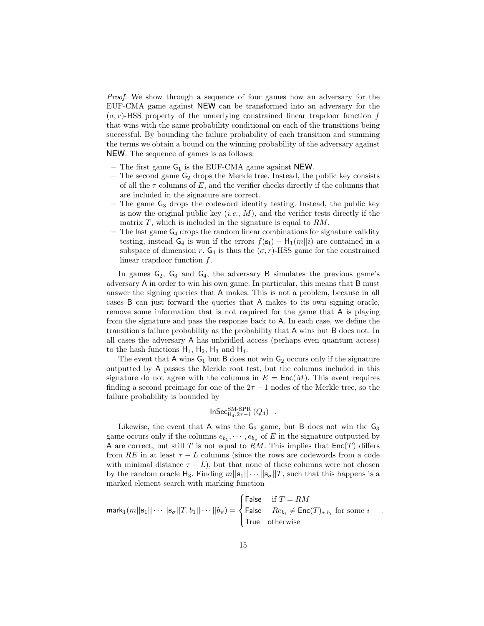*Proof.* We show through a sequence of four games how an adversary for the EUF-CMA game against NEW can be transformed into an adversary for the (*σ, r*)-HSS property of the underlying constrained linear trapdoor function *f* that wins with the same probability conditional on each of the transitions being successful. By bounding the failure probability of each transition and summing the terms we obtain a bound on the winning probability of the adversary against NEW. The sequence of games is as follows:

- **–** The first game G<sup>1</sup> is the EUF-CMA game against NEW.
- $-$  The second game  $G_2$  drops the Merkle tree. Instead, the public key consists of all the  $\tau$  columns of  $E$ , and the verifier checks directly if the columns that are included in the signature are correct.
- **–** The game G<sup>3</sup> drops the codeword identity testing. Instead, the public key is now the original public key  $(i.e., M)$ , and the verifier tests directly if the matrix *T*, which is included in the signature is equal to *RM*.
- **–** The last game G<sup>4</sup> drops the random linear combinations for signature validity testing, instead  $G_4$  is won if the errors  $f(s_i) - H_1(m||i)$  are contained in a subspace of dimension *r*.  $G_4$  is thus the  $(\sigma, r)$ -HSS game for the constrained linear trapdoor function *f*.

In games  $G_2$ ,  $G_3$  and  $G_4$ , the adversary B simulates the previous game's adversary A in order to win his own game. In particular, this means that B must answer the signing queries that A makes. This is not a problem, because in all cases B can just forward the queries that A makes to its own signing oracle, remove some information that is not required for the game that A is playing from the signature and pass the response back to A. In each case, we define the transition's failure probability as the probability that A wins but B does not. In all cases the adversary A has unbridled access (perhaps even quantum access) to the hash functions  $H_1$ ,  $H_2$ ,  $H_3$  and  $H_4$ .

The event that A wins  $G_1$  but B does not win  $G_2$  occurs only if the signature outputted by A passes the Merkle root test, but the columns included in this signature do not agree with the columns in  $E = \text{Enc}(M)$ . This event requires finding a second preimage for one of the  $2\tau - 1$  nodes of the Merkle tree, so the failure probability is bounded by

$$
\mathsf{InSec}_{\mathsf{H}_4,2\tau-1}^{\mathsf{SM-SPR}}(Q_4) .
$$

Likewise, the event that A wins the  $G_2$  game, but B does not win the  $G_3$ game occurs only if the columns  $e_{b_1}, \dots, e_{b_{\vartheta}}$  of *E* in the signature outputted by A are correct, but still *T* is not equal to *RM*. This implies that Enc(*T*) differs from *RE* in at least  $\tau - L$  columns (since the rows are codewords from a code with minimal distance  $\tau - L$ ), but that none of these columns were not chosen by the random oracle  $H_3$ . Finding  $m||\mathbf{s}_1|| \cdots ||\mathbf{s}_\sigma||T$ , such that this happens is a marked element search with marking function

$$
\mathsf{mark}_1(m||\mathbf{s}_1||\cdots||\mathbf{s}_\sigma||T, b_1||\cdots||b_\vartheta) = \begin{cases} \mathsf{False} & \text{if } T = RM \\ \mathsf{False} & Re_{b_i} \neq \mathsf{Enc}(T)_{\star,b_i} \text{ for some } i \\ \mathsf{True} & \text{otherwise} \end{cases}
$$

*.*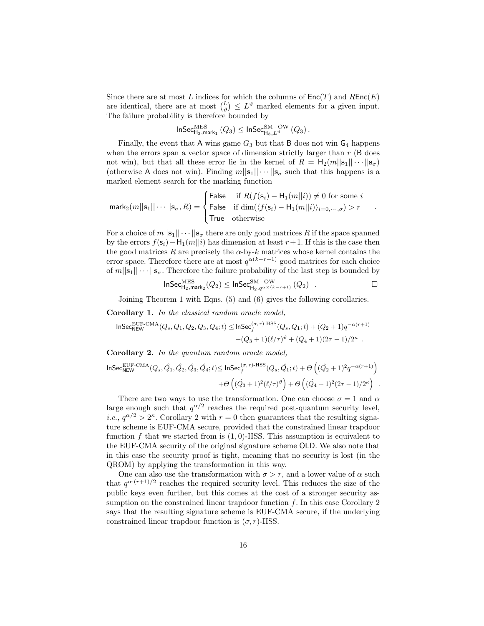Since there are at most L indices for which the columns of  $Enc(T)$  and  $REnc(E)$ are identical, there are at most  $\binom{L}{\vartheta} \leq L^{\vartheta}$  marked elements for a given input. The failure probability is therefore bounded by

$$
\mathsf{InSec}_{\mathsf{H}_3,\mathsf{mark}_1}^{\mathrm{MES}}\left(Q_3\right)\leq \mathsf{InSec}_{\mathsf{H}_3,L^\vartheta}^{\mathrm{SM}-\mathrm{OW}}\left(Q_3\right).
$$

Finally, the event that A wins game  $G_3$  but that B does not win  $G_4$  happens when the errors span a vector space of dimension strictly larger than  $r$  (B does not win), but that all these error lie in the kernel of  $R = H_2(m||s_1|| \cdots ||s_\sigma)$ (otherwise A does not win). Finding  $m||\mathbf{s}_1|| \cdots ||\mathbf{s}_{\sigma}$  such that this happens is a marked element search for the marking function

$$
\text{mark}_2(m||\mathbf{s}_1||\cdots||\mathbf{s}_{\sigma}, R) = \begin{cases} \text{False} & \text{if } R(f(\mathbf{s}_i) - \mathsf{H}_1(m||i)) \neq 0 \text{ for some } i \\ \text{False} & \text{if } \dim(\langle f(\mathbf{s}_i) - \mathsf{H}_1(m||i) \rangle_{i=0,\cdots,\sigma}) > r \\ \text{True} & \text{otherwise} \end{cases}.
$$

For a choice of  $m||\mathbf{s}_1|| \cdots ||\mathbf{s}_{\sigma}$  there are only good matrices R if the space spanned by the errors  $f(\mathbf{s}_i) - \mathbf{H}_1(m||i)$  has dimension at least  $r + 1$ . If this is the case then the good matrices  $R$  are precisely the  $\alpha$ -by- $k$  matrices whose kernel contains the error space. Therefore there are at most  $q^{\alpha(k-r+1)}$  good matrices for each choice of  $m||\mathbf{s}_1|| \cdots ||\mathbf{s}_{\sigma}$ . Therefore the failure probability of the last step is bounded by

$$
\mathsf{InSec}_{\mathsf{H}_2,\mathsf{mark}_2}^{\mathrm{MES}}(Q_2) \le \mathsf{InSec}_{\mathsf{H}_2,q^{\alpha \times (k-r+1)}}^{\mathrm{SM}-\mathrm{OW}}(Q_2) \quad . \qquad \qquad \Box
$$

Joining Theorem [1](#page-13-0) with Eqns. [\(5](#page-11-1)) and ([6\)](#page-11-2) gives the following corollaries.

**Corollary 1.** *In the classical random oracle model,*

$$
\begin{aligned} \text{InSec}_{\text{NEW}}^{\text{EUF-CMA}}(Q_s, Q_1, Q_2, Q_3, Q_4; t) & \leq \text{InSec}_f^{(\sigma, r)\text{-HSS}}(Q_s, Q_1; t) + (Q_2 + 1)q^{-\alpha(r+1)} \\ & \qquad + (Q_3 + 1)(\ell/\tau)^\vartheta + (Q_4 + 1)(2\tau - 1)/2^\kappa \enspace. \end{aligned}
$$

<span id="page-15-0"></span>**Corollary 2.** *In the quantum random oracle model,*

$$
\begin{aligned} \text{InSec}_{\text{NEW}}^{\text{EUF-CMA}}(Q_s,\hat{Q_1},\hat{Q_2},\hat{Q_3},\hat{Q_4};t) \hspace{-0.5ex}\leq \hspace{-0.5ex} \text{InSec}_{f}^{(\sigma,r)\text{-HSS}}(Q_s,\hat{Q_1};t) + \mathop{\hspace{-0.5ex}\text{G}}\left((\hat{Q_2}+1)^2q^{-\alpha(r+1)}\right)\\ +\mathop{\hspace{-0.5ex}\text{G}}\left((\hat{Q_3}+1)^2(\ell/\tau)^\vartheta\right) + \mathop{\hspace{-0.5ex}\text{G}}\left((\hat{Q_4}+1)^2(2\tau-1)/2^\kappa\right)\hspace{-0.5ex}\right)\,. \end{aligned}
$$

There are two ways to use the transformation. One can choose  $\sigma = 1$  and  $\alpha$ large enough such that  $q^{\alpha/2}$  reaches the required post-quantum security level, *i.e.*,  $q^{\alpha/2} > 2^{\kappa}$  $q^{\alpha/2} > 2^{\kappa}$  $q^{\alpha/2} > 2^{\kappa}$ . Corollary 2 with  $r = 0$  then guarantees that the resulting signature scheme is EUF-CMA secure, provided that the constrained linear trapdoor function *f* that we started from is (1*,* 0)-HSS. This assumption is equivalent to the EUF-CMA security of the original signature scheme OLD. We also note that in this case the security proof is tight, meaning that no security is lost (in the QROM) by applying the transformation in this way.

One can also use the transformation with  $\sigma > r$ , and a lower value of  $\alpha$  such that  $q^{\alpha \cdot (r+1)/2}$  reaches the required security level. This reduces the size of the public keys even further, but this comes at the cost of a stronger security assumption on the constrained linear trapdoor function *f*. In this case Corollary [2](#page-15-0) says that the resulting signature scheme is EUF-CMA secure, if the underlying constrained linear trapdoor function is  $(\sigma, r)$ -HSS.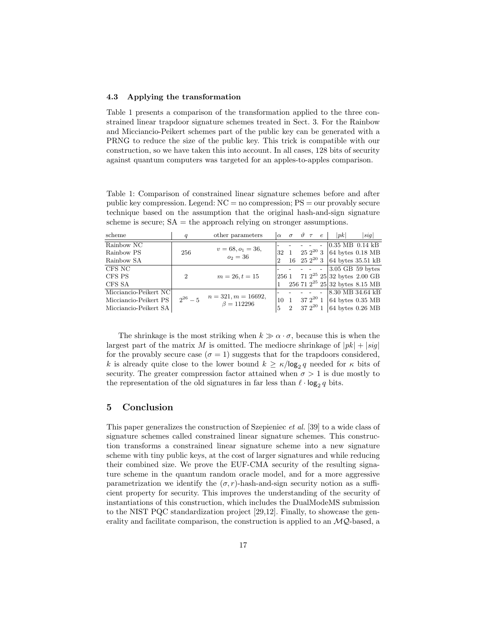#### **4.3 Applying the transformation**

Table [1](#page-16-0) presents a comparison of the transformation applied to the three constrained linear trapdoor signature schemes treated in Sect. [3.](#page-4-1) For the Rainbow and Micciancio-Peikert schemes part of the public key can be generated with a PRNG to reduce the size of the public key. This trick is compatible with our construction, so we have taken this into account. In all cases, 128 bits of security against quantum computers was targeted for an apples-to-apples comparison.

<span id="page-16-0"></span>Table 1: Comparison of constrained linear signature schemes before and after public key compression. Legend: NC = no compression; PS = our provably secure technique based on the assumption that the original hash-and-sign signature scheme is secure;  $SA =$  the approach relying on stronger assumptions.

| scheme                | q                           | other parameters                          | $\alpha$       | $\sigma$                 | $\vartheta \tau$ |                 | $\epsilon$ | pk                                                   | sig |
|-----------------------|-----------------------------|-------------------------------------------|----------------|--------------------------|------------------|-----------------|------------|------------------------------------------------------|-----|
| Rainbow NC            | 256                         | $v = 68, o_1 = 36,$<br>$o_2 = 36$         |                |                          |                  |                 |            | $0.35$ MB $0.14$ kB                                  |     |
| Rainbow PS            |                             |                                           | 32             |                          |                  | $25\ 2^{20}\ 3$ |            | $64$ bytes 0.18 MB                                   |     |
| Rainbow SA            |                             |                                           | $\overline{2}$ |                          |                  |                 |            | 16 $25\ 2^{20}\ 3\ 64$ bytes 35.51 kB                |     |
| CFS NC                | $\mathcal{D}_{\mathcal{L}}$ | $m = 26, t = 15$                          |                | and a state of the state |                  |                 |            | $ 3.05$ GB 59 bytes                                  |     |
| CFS PS                |                             |                                           | 256 1          |                          |                  |                 |            | $71\ 2^{25}\ 25\ 32\  \text{bytes}\ 2.00\ \text{GB}$ |     |
| CFS SA                |                             |                                           |                |                          |                  |                 |            | 256 71 $2^{25}$ 25 32 bytes 8.15 MB                  |     |
| Micciancio-Peikert NC | $2^{26} - 5$                | $n = 321, m = 16692,$<br>$\beta = 112296$ |                |                          |                  |                 |            | 8.30 MB 34.64 kB                                     |     |
| Micciancio-Peikert PS |                             |                                           | 10             |                          |                  | $37\ 2^{20}\ 1$ |            | $64$ bytes 0.35 MB                                   |     |
| Micciancio-Peikert SA |                             |                                           | $\overline{5}$ | 2                        |                  |                 |            | 37 $2^{20}$ 1   64 bytes 0.26 MB                     |     |

The shrinkage is the most striking when  $k \gg \alpha \cdot \sigma$ , because this is when the largest part of the matrix *M* is omitted. The mediocre shrinkage of  $|pk| + |sig|$ for the provably secure case  $(\sigma = 1)$  suggests that for the trapdoors considered, *k* is already quite close to the lower bound  $k \geq \kappa/\log_2 q$  needed for  $\kappa$  bits of security. The greater compression factor attained when  $\sigma > 1$  is due mostly to the representation of the old signatures in far less than  $\ell \cdot \log_2 q$  bits.

### **5 Conclusion**

This paper generalizes the construction of Szepieniec *et al.* [\[39](#page-21-0)] to a wide class of signature schemes called constrained linear signature schemes. This construction transforms a constrained linear signature scheme into a new signature scheme with tiny public keys, at the cost of larger signatures and while reducing their combined size. We prove the EUF-CMA security of the resulting signature scheme in the quantum random oracle model, and for a more aggressive parametrization we identify the  $(\sigma, r)$ -hash-and-sign security notion as a sufficient property for security. This improves the understanding of the security of instantiations of this construction, which includes the DualModeMS submission to the NIST PQC standardization project [[29](#page-20-6)[,12](#page-18-7)]. Finally, to showcase the generality and facilitate comparison, the construction is applied to an *MQ*-based, a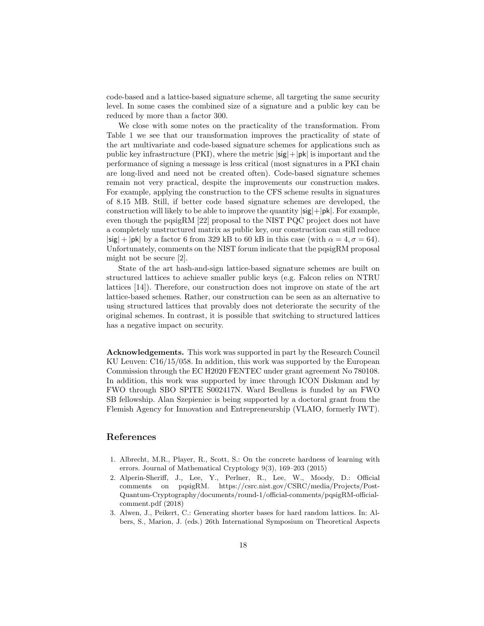code-based and a lattice-based signature scheme, all targeting the same security level. In some cases the combined size of a signature and a public key can be reduced by more than a factor 300.

We close with some notes on the practicality of the transformation. From Table [1](#page-16-0) we see that our transformation improves the practicality of state of the art multivariate and code-based signature schemes for applications such as public key infrastructure (PKI), where the metric *|*sig*|*+*|*pk*|* is important and the performance of signing a message is less critical (most signatures in a PKI chain are long-lived and need not be created often). Code-based signature schemes remain not very practical, despite the improvements our construction makes. For example, applying the construction to the CFS scheme results in signatures of 8*.*15 MB. Still, if better code based signature schemes are developed, the construction will likely to be able to improve the quantity *|*sig*|*+*|*pk*|*. For example, even though the pqsigRM [\[22](#page-19-8)] proposal to the NIST PQC project does not have a completely unstructured matrix as public key, our construction can still reduce  $|\text{sig}| + |\text{pk}|$  by a factor 6 from 329 kB to 60 kB in this case (with  $\alpha = 4, \sigma = 64$ ). Unfortunately, comments on the NIST forum indicate that the pqsigRM proposal might not be secure [\[2](#page-17-2)].

State of the art hash-and-sign lattice-based signature schemes are built on structured lattices to achieve smaller public keys (e.g. Falcon relies on NTRU lattices [\[14](#page-19-9)]). Therefore, our construction does not improve on state of the art lattice-based schemes. Rather, our construction can be seen as an alternative to using structured lattices that provably does not deteriorate the security of the original schemes. In contrast, it is possible that switching to structured lattices has a negative impact on security.

**Acknowledgements.** This work was supported in part by the Research Council KU Leuven: C16/15/058. In addition, this work was supported by the European Commission through the EC H2020 FENTEC under grant agreement No 780108. In addition, this work was supported by imec through ICON Diskman and by FWO through SBO SPITE S002417N. Ward Beullens is funded by an FWO SB fellowship. Alan Szepieniec is being supported by a doctoral grant from the Flemish Agency for Innovation and Entrepreneurship (VLAIO, formerly IWT).

# **References**

- <span id="page-17-1"></span>1. Albrecht, M.R., Player, R., Scott, S.: On the concrete hardness of learning with errors. Journal of Mathematical Cryptology 9(3), 169–203 (2015)
- <span id="page-17-2"></span>2. Alperin-Sheriff, J., Lee, Y., Perlner, R., Lee, W., Moody, D.: Official comments on pqsigRM. https://csrc.nist.gov/CSRC/media/Projects/Post-Quantum-Cryptography/documents/round-1/official-comments/pqsigRM-officialcomment.pdf (2018)
- <span id="page-17-0"></span>3. Alwen, J., Peikert, C.: Generating shorter bases for hard random lattices. In: Albers, S., Marion, J. (eds.) 26th International Symposium on Theoretical Aspects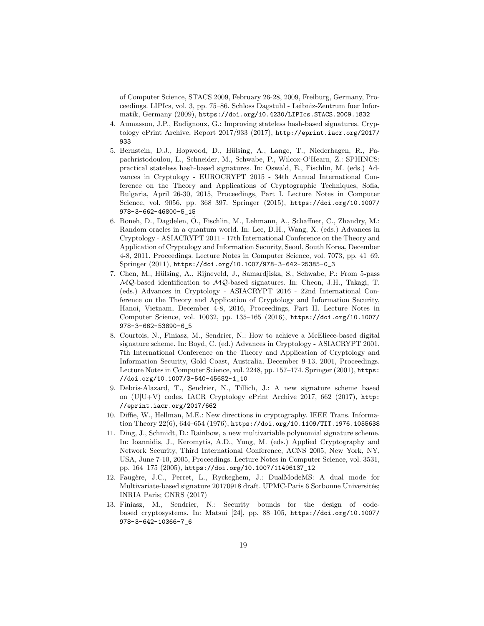of Computer Science, STACS 2009, February 26-28, 2009, Freiburg, Germany, Proceedings. LIPIcs, vol. 3, pp. 75–86. Schloss Dagstuhl - Leibniz-Zentrum fuer Informatik, Germany (2009), <https://doi.org/10.4230/LIPIcs.STACS.2009.1832>

- <span id="page-18-6"></span>4. Aumasson, J.P., Endignoux, G.: Improving stateless hash-based signatures. Cryptology ePrint Archive, Report 2017/933 (2017), [http://eprint.iacr.org/2017/](http://eprint.iacr.org/2017/933) [933](http://eprint.iacr.org/2017/933)
- <span id="page-18-5"></span>5. Bernstein, D.J., Hopwood, D., Hülsing, A., Lange, T., Niederhagen, R., Papachristodoulou, L., Schneider, M., Schwabe, P., Wilcox-O'Hearn, Z.: SPHINCS: practical stateless hash-based signatures. In: Oswald, E., Fischlin, M. (eds.) Advances in Cryptology - EUROCRYPT 2015 - 34th Annual International Conference on the Theory and Applications of Cryptographic Techniques, Sofia, Bulgaria, April 26-30, 2015, Proceedings, Part I. Lecture Notes in Computer Science, vol. 9056, pp. 368–397. Springer (2015), [https://doi.org/10.1007/](https://doi.org/10.1007/978-3-662-46800-5_15) [978-3-662-46800-5\\_15](https://doi.org/10.1007/978-3-662-46800-5_15)
- <span id="page-18-8"></span>6. Boneh, D., Dagdelen, O., Fischlin, M., Lehmann, A., Schaffner, C., Zhandry, M.: ¨ Random oracles in a quantum world. In: Lee, D.H., Wang, X. (eds.) Advances in Cryptology - ASIACRYPT 2011 - 17th International Conference on the Theory and Application of Cryptology and Information Security, Seoul, South Korea, December 4-8, 2011. Proceedings. Lecture Notes in Computer Science, vol. 7073, pp. 41–69. Springer (2011), [https://doi.org/10.1007/978-3-642-25385-0\\_3](https://doi.org/10.1007/978-3-642-25385-0_3)
- <span id="page-18-4"></span>7. Chen, M., Hülsing, A., Rijneveld, J., Samardjiska, S., Schwabe, P.: From 5-pass *MQ*-based identification to *MQ*-based signatures. In: Cheon, J.H., Takagi, T. (eds.) Advances in Cryptology - ASIACRYPT 2016 - 22nd International Conference on the Theory and Application of Cryptology and Information Security, Hanoi, Vietnam, December 4-8, 2016, Proceedings, Part II. Lecture Notes in Computer Science, vol. 10032, pp. 135–165 (2016), [https://doi.org/10.1007/](https://doi.org/10.1007/978-3-662-53890-6_5) [978-3-662-53890-6\\_5](https://doi.org/10.1007/978-3-662-53890-6_5)
- <span id="page-18-2"></span>8. Courtois, N., Finiasz, M., Sendrier, N.: How to achieve a McEliece-based digital signature scheme. In: Boyd, C. (ed.) Advances in Cryptology - ASIACRYPT 2001, 7th International Conference on the Theory and Application of Cryptology and Information Security, Gold Coast, Australia, December 9-13, 2001, Proceedings. Lecture Notes in Computer Science, vol. 2248, pp. 157–174. Springer (2001), [https:](https://doi.org/10.1007/3-540-45682-1_10) [//doi.org/10.1007/3-540-45682-1\\_10](https://doi.org/10.1007/3-540-45682-1_10)
- <span id="page-18-3"></span>9. Debris-Alazard, T., Sendrier, N., Tillich, J.: A new signature scheme based on (U*|*U+V) codes. IACR Cryptology ePrint Archive 2017, 662 (2017), [http:](http://eprint.iacr.org/2017/662) [//eprint.iacr.org/2017/662](http://eprint.iacr.org/2017/662)
- <span id="page-18-0"></span>10. Diffie, W., Hellman, M.E.: New directions in cryptography. IEEE Trans. Information Theory 22(6), 644–654 (1976), <https://doi.org/10.1109/TIT.1976.1055638>
- <span id="page-18-1"></span>11. Ding, J., Schmidt, D.: Rainbow, a new multivariable polynomial signature scheme. In: Ioannidis, J., Keromytis, A.D., Yung, M. (eds.) Applied Cryptography and Network Security, Third International Conference, ACNS 2005, New York, NY, USA, June 7-10, 2005, Proceedings. Lecture Notes in Computer Science, vol. 3531, pp. 164–175 (2005), [https://doi.org/10.1007/11496137\\_12](https://doi.org/10.1007/11496137_12)
- <span id="page-18-7"></span>12. Faug`ere, J.C., Perret, L., Ryckeghem, J.: DualModeMS: A dual mode for Multivariate-based signature 20170918 draft. UPMC-Paris 6 Sorbonne Universités; INRIA Paris; CNRS (2017)
- <span id="page-18-9"></span>13. Finiasz, M., Sendrier, N.: Security bounds for the design of codebased cryptosystems. In: Matsui [\[24](#page-19-10)], pp. 88–105, [https://doi.org/10.1007/](https://doi.org/10.1007/978-3-642-10366-7_6) [978-3-642-10366-7\\_6](https://doi.org/10.1007/978-3-642-10366-7_6)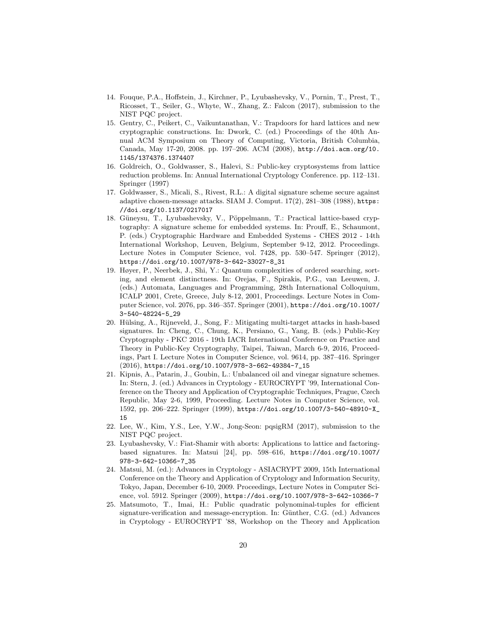- <span id="page-19-9"></span>14. Fouque, P.A., Hoffstein, J., Kirchner, P., Lyubashevsky, V., Pornin, T., Prest, T., Ricosset, T., Seiler, G., Whyte, W., Zhang, Z.: Falcon (2017), submission to the NIST PQC project.
- <span id="page-19-1"></span>15. Gentry, C., Peikert, C., Vaikuntanathan, V.: Trapdoors for hard lattices and new cryptographic constructions. In: Dwork, C. (ed.) Proceedings of the 40th Annual ACM Symposium on Theory of Computing, Victoria, British Columbia, Canada, May 17-20, 2008. pp. 197–206. ACM (2008), [http://doi.acm.org/10.](http://doi.acm.org/10.1145/1374376.1374407) [1145/1374376.1374407](http://doi.acm.org/10.1145/1374376.1374407)
- <span id="page-19-6"></span>16. Goldreich, O., Goldwasser, S., Halevi, S.: Public-key cryptosystems from lattice reduction problems. In: Annual International Cryptology Conference. pp. 112–131. Springer (1997)
- <span id="page-19-4"></span>17. Goldwasser, S., Micali, S., Rivest, R.L.: A digital signature scheme secure against adaptive chosen-message attacks. SIAM J. Comput. 17(2), 281–308 (1988), [https:](https://doi.org/10.1137/0217017) [//doi.org/10.1137/0217017](https://doi.org/10.1137/0217017)
- <span id="page-19-3"></span>18. Güneysu, T., Lyubashevsky, V., Pöppelmann, T.: Practical lattice-based cryptography: A signature scheme for embedded systems. In: Prouff, E., Schaumont, P. (eds.) Cryptographic Hardware and Embedded Systems - CHES 2012 - 14th International Workshop, Leuven, Belgium, September 9-12, 2012. Proceedings. Lecture Notes in Computer Science, vol. 7428, pp. 530–547. Springer (2012), [https://doi.org/10.1007/978-3-642-33027-8\\_31](https://doi.org/10.1007/978-3-642-33027-8_31)
- <span id="page-19-11"></span>19. Høyer, P., Neerbek, J., Shi, Y.: Quantum complexities of ordered searching, sorting, and element distinctness. In: Orejas, F., Spirakis, P.G., van Leeuwen, J. (eds.) Automata, Languages and Programming, 28th International Colloquium, ICALP 2001, Crete, Greece, July 8-12, 2001, Proceedings. Lecture Notes in Computer Science, vol. 2076, pp. 346–357. Springer (2001), [https://doi.org/10.1007/](https://doi.org/10.1007/3-540-48224-5_29) [3-540-48224-5\\_29](https://doi.org/10.1007/3-540-48224-5_29)
- <span id="page-19-7"></span>20. Hülsing, A., Rijneveld, J., Song, F.: Mitigating multi-target attacks in hash-based signatures. In: Cheng, C., Chung, K., Persiano, G., Yang, B. (eds.) Public-Key Cryptography - PKC 2016 - 19th IACR International Conference on Practice and Theory in Public-Key Cryptography, Taipei, Taiwan, March 6-9, 2016, Proceedings, Part I. Lecture Notes in Computer Science, vol. 9614, pp. 387–416. Springer (2016), [https://doi.org/10.1007/978-3-662-49384-7\\_15](https://doi.org/10.1007/978-3-662-49384-7_15)
- <span id="page-19-0"></span>21. Kipnis, A., Patarin, J., Goubin, L.: Unbalanced oil and vinegar signature schemes. In: Stern, J. (ed.) Advances in Cryptology - EUROCRYPT '99, International Conference on the Theory and Application of Cryptographic Techniques, Prague, Czech Republic, May 2-6, 1999, Proceeding. Lecture Notes in Computer Science, vol. 1592, pp. 206–222. Springer (1999), [https://doi.org/10.1007/3-540-48910-X\\_](https://doi.org/10.1007/3-540-48910-X_15) [15](https://doi.org/10.1007/3-540-48910-X_15)
- <span id="page-19-8"></span>22. Lee, W., Kim, Y.S., Lee, Y.W., Jong-Seon: pqsigRM (2017), submission to the NIST PQC project.
- <span id="page-19-2"></span>23. Lyubashevsky, V.: Fiat-Shamir with aborts: Applications to lattice and factoringbased signatures. In: Matsui [[24\]](#page-19-10), pp. 598–616, [https://doi.org/10.1007/](https://doi.org/10.1007/978-3-642-10366-7_35) [978-3-642-10366-7\\_35](https://doi.org/10.1007/978-3-642-10366-7_35)
- <span id="page-19-10"></span>24. Matsui, M. (ed.): Advances in Cryptology - ASIACRYPT 2009, 15th International Conference on the Theory and Application of Cryptology and Information Security, Tokyo, Japan, December 6-10, 2009. Proceedings, Lecture Notes in Computer Science, vol. 5912. Springer (2009), <https://doi.org/10.1007/978-3-642-10366-7>
- <span id="page-19-5"></span>25. Matsumoto, T., Imai, H.: Public quadratic polynominal-tuples for efficient signature-verification and message-encryption. In: Günther, C.G. (ed.) Advances in Cryptology - EUROCRYPT '88, Workshop on the Theory and Application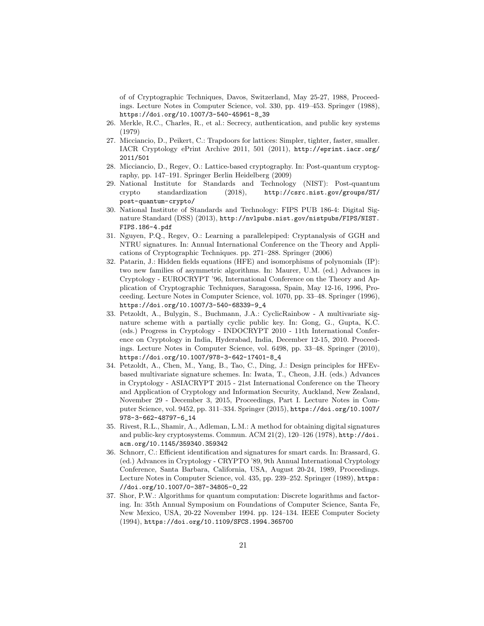of of Cryptographic Techniques, Davos, Switzerland, May 25-27, 1988, Proceedings. Lecture Notes in Computer Science, vol. 330, pp. 419–453. Springer (1988), [https://doi.org/10.1007/3-540-45961-8\\_39](https://doi.org/10.1007/3-540-45961-8_39)

- <span id="page-20-7"></span>26. Merkle, R.C., Charles, R., et al.: Secrecy, authentication, and public key systems (1979)
- <span id="page-20-5"></span>27. Micciancio, D., Peikert, C.: Trapdoors for lattices: Simpler, tighter, faster, smaller. IACR Cryptology ePrint Archive 2011, 501 (2011), [http://eprint.iacr.org/](http://eprint.iacr.org/2011/501) [2011/501](http://eprint.iacr.org/2011/501)
- <span id="page-20-11"></span>28. Micciancio, D., Regev, O.: Lattice-based cryptography. In: Post-quantum cryptography, pp. 147–191. Springer Berlin Heidelberg (2009)
- <span id="page-20-6"></span>29. National Institute for Standards and Technology (NIST): Post-quantum crypto standardization (2018), [http://csrc.nist.gov/groups/ST/](http://csrc.nist.gov/groups/ST/post-quantum-crypto/) [post-quantum-crypto/](http://csrc.nist.gov/groups/ST/post-quantum-crypto/)
- <span id="page-20-2"></span>30. National Institute of Standards and Technology: FIPS PUB 186-4: Digital Signature Standard (DSS) (2013), [http://nvlpubs.nist.gov/nistpubs/FIPS/NIST.](http://nvlpubs.nist.gov/nistpubs/FIPS/NIST.FIPS.186-4.pdf) [FIPS.186-4.pdf](http://nvlpubs.nist.gov/nistpubs/FIPS/NIST.FIPS.186-4.pdf)
- <span id="page-20-10"></span>31. Nguyen, P.Q., Regev, O.: Learning a parallelepiped: Cryptanalysis of GGH and NTRU signatures. In: Annual International Conference on the Theory and Applications of Cryptographic Techniques. pp. 271–288. Springer (2006)
- <span id="page-20-8"></span>32. Patarin, J.: Hidden fields equations (HFE) and isomorphisms of polynomials (IP): two new families of asymmetric algorithms. In: Maurer, U.M. (ed.) Advances in Cryptology - EUROCRYPT '96, International Conference on the Theory and Application of Cryptographic Techniques, Saragossa, Spain, May 12-16, 1996, Proceeding. Lecture Notes in Computer Science, vol. 1070, pp. 33–48. Springer (1996), [https://doi.org/10.1007/3-540-68339-9\\_4](https://doi.org/10.1007/3-540-68339-9_4)
- <span id="page-20-9"></span>33. Petzoldt, A., Bulygin, S., Buchmann, J.A.: CyclicRainbow - A multivariate signature scheme with a partially cyclic public key. In: Gong, G., Gupta, K.C. (eds.) Progress in Cryptology - INDOCRYPT 2010 - 11th International Conference on Cryptology in India, Hyderabad, India, December 12-15, 2010. Proceedings. Lecture Notes in Computer Science, vol. 6498, pp. 33–48. Springer (2010), [https://doi.org/10.1007/978-3-642-17401-8\\_4](https://doi.org/10.1007/978-3-642-17401-8_4)
- <span id="page-20-4"></span>34. Petzoldt, A., Chen, M., Yang, B., Tao, C., Ding, J.: Design principles for HFEvbased multivariate signature schemes. In: Iwata, T., Cheon, J.H. (eds.) Advances in Cryptology - ASIACRYPT 2015 - 21st International Conference on the Theory and Application of Cryptology and Information Security, Auckland, New Zealand, November 29 - December 3, 2015, Proceedings, Part I. Lecture Notes in Computer Science, vol. 9452, pp. 311–334. Springer (2015), [https://doi.org/10.1007/](https://doi.org/10.1007/978-3-662-48797-6_14) [978-3-662-48797-6\\_14](https://doi.org/10.1007/978-3-662-48797-6_14)
- <span id="page-20-0"></span>35. Rivest, R.L., Shamir, A., Adleman, L.M.: A method for obtaining digital signatures and public-key cryptosystems. Commun. ACM 21(2), 120–126 (1978), [http://doi.](http://doi.acm.org/10.1145/359340.359342) [acm.org/10.1145/359340.359342](http://doi.acm.org/10.1145/359340.359342)
- <span id="page-20-1"></span>36. Schnorr, C.: Efficient identification and signatures for smart cards. In: Brassard, G. (ed.) Advances in Cryptology - CRYPTO '89, 9th Annual International Cryptology Conference, Santa Barbara, California, USA, August 20-24, 1989, Proceedings. Lecture Notes in Computer Science, vol. 435, pp. 239–252. Springer (1989), [https:](https://doi.org/10.1007/0-387-34805-0_22) [//doi.org/10.1007/0-387-34805-0\\_22](https://doi.org/10.1007/0-387-34805-0_22)
- <span id="page-20-3"></span>37. Shor, P.W.: Algorithms for quantum computation: Discrete logarithms and factoring. In: 35th Annual Symposium on Foundations of Computer Science, Santa Fe, New Mexico, USA, 20-22 November 1994. pp. 124–134. IEEE Computer Society (1994), <https://doi.org/10.1109/SFCS.1994.365700>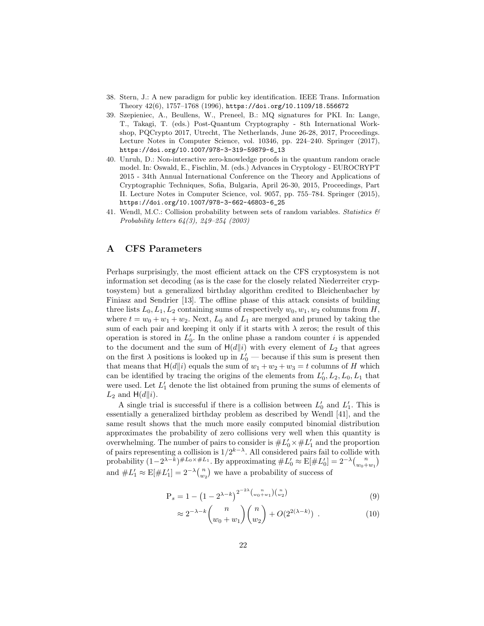- <span id="page-21-1"></span>38. Stern, J.: A new paradigm for public key identification. IEEE Trans. Information Theory 42(6), 1757–1768 (1996), <https://doi.org/10.1109/18.556672>
- <span id="page-21-0"></span>39. Szepieniec, A., Beullens, W., Preneel, B.: MQ signatures for PKI. In: Lange, T., Takagi, T. (eds.) Post-Quantum Cryptography - 8th International Workshop, PQCrypto 2017, Utrecht, The Netherlands, June 26-28, 2017, Proceedings. Lecture Notes in Computer Science, vol. 10346, pp. 224–240. Springer (2017), [https://doi.org/10.1007/978-3-319-59879-6\\_13](https://doi.org/10.1007/978-3-319-59879-6_13)
- <span id="page-21-2"></span>40. Unruh, D.: Non-interactive zero-knowledge proofs in the quantum random oracle model. In: Oswald, E., Fischlin, M. (eds.) Advances in Cryptology - EUROCRYPT 2015 - 34th Annual International Conference on the Theory and Applications of Cryptographic Techniques, Sofia, Bulgaria, April 26-30, 2015, Proceedings, Part II. Lecture Notes in Computer Science, vol. 9057, pp. 755–784. Springer (2015), [https://doi.org/10.1007/978-3-662-46803-6\\_25](https://doi.org/10.1007/978-3-662-46803-6_25)
- <span id="page-21-4"></span>41. Wendl, M.C.: Collision probability between sets of random variables. *Statistics & Probability letters 64(3), 249–254 (2003)*

# <span id="page-21-3"></span>**A CFS Parameters**

Perhaps surprisingly, the most efficient attack on the CFS cryptosystem is not information set decoding (as is the case for the closely related Niederreiter cryptosystem) but a generalized birthday algorithm credited to Bleichenbacher by Finiasz and Sendrier [[13\]](#page-18-9). The offline phase of this attack consists of building three lists  $L_0, L_1, L_2$  containing sums of respectively  $w_0, w_1, w_2$  columns from *H*, where  $t = w_0 + w_1 + w_2$ . Next,  $L_0$  and  $L_1$  are merged and pruned by taking the sum of each pair and keeping it only if it starts with *λ* zeros; the result of this operation is stored in  $L'_0$ . In the online phase a random counter *i* is appended to the document and the sum of  $H(d||i)$  with every element of  $L_2$  that agrees on the first  $\lambda$  positions is looked up in  $L'_0$  — because if this sum is present then that means that  $H(d||i)$  equals the sum of  $w_1 + w_2 + w_3 = t$  columns of *H* which can be identified by tracing the origins of the elements from  $L'_0, L_2, L_0, L_1$  that were used. Let  $L'_1$  denote the list obtained from pruning the sums of elements of  $L_2$  and  $H(d||i)$ .

A single trial is successful if there is a collision between  $L'_0$  and  $L'_1$ . This is essentially a generalized birthday problem as described by Wendl [[41\]](#page-21-4), and the same result shows that the much more easily computed binomial distribution approximates the probability of zero collisions very well when this quantity is overwhelming. The number of pairs to consider is  $\#L'_0 \times \#L'_1$  and the proportion of pairs representing a collision is  $1/2^{k-\lambda}$ . All considered pairs fail to collide with probability  $(1 - 2^{\lambda - k})^{\#L_0 \times \#L_1}$ . By approximating  $\#L'_0 \approx E[\#L'_0] = 2^{-\lambda} {n \choose w_0 + w_1}$ and  $\#L'_1 \approx \mathbb{E}[\#L'_1] = 2^{-\lambda} {n \choose w_2}$  we have a probability of success of

$$
P_s = 1 - \left(1 - 2^{\lambda - k}\right)^{2^{-2\lambda} \binom{n}{w_0 + w_1} \binom{n}{w_2}} \tag{9}
$$

$$
\approx 2^{-\lambda - k} {n \choose w_0 + w_1} {n \choose w_2} + O(2^{2(\lambda - k)}) . \tag{10}
$$